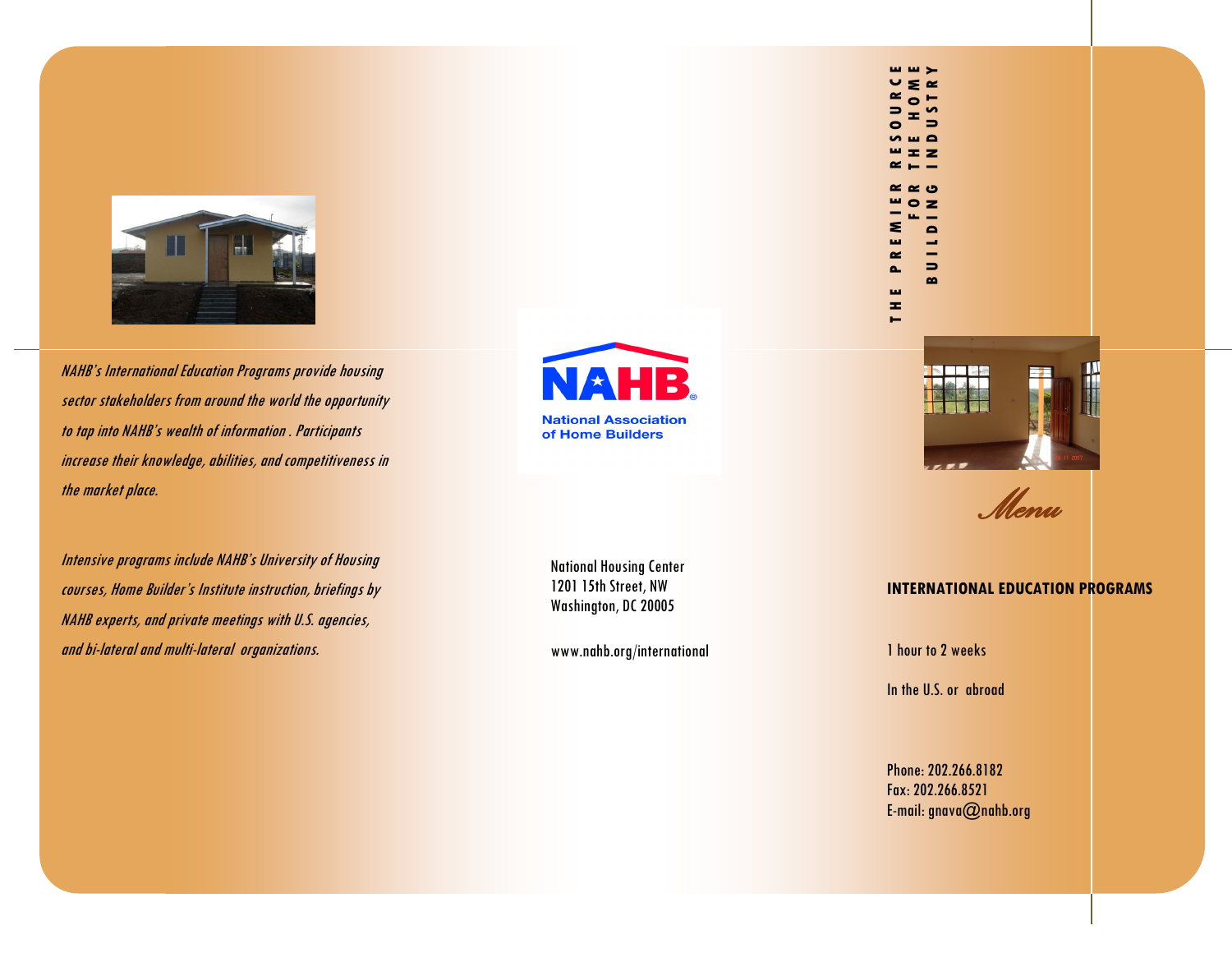

NAHB's International Education Programs provide housing sector stakeholders from around the world the opportunity to tap into NAHB's wealth of information . Participants increase their knowledge, abilities, and competitiveness in the market place.

Intensive programs include NAHB's University of Housing courses, Home Builder's Institute instruction, briefings by NAHB experts, and private meetings with U.S. agencies, and bi-lateral and multi-lateral organizations.

HB **National Association** of Home Builders

National Housing Center 1201 15th Street, NW Washington, DC 20005

www.nahb.org/international



*Menu* 

## **INTERNATIONAL EDUCATION PROGRAMS**

1 hour to 2 weeks

THE PREMIER RESOURCE

 $\mathbf{r}$  $\blacksquare$ 

**F O R T H E H O M E** 

**MMX**  $\sim$ 

BUILDING INDUSTRY

**CB**  $\overline{\mathbf{z}}$  $\triangleright$ 

 $\Rightarrow$  $\sim$ 

In the U.S. or abroad

Phone: 202.266.8182 Fax: 202.266.8521 E-mail: gnava@nahb.org